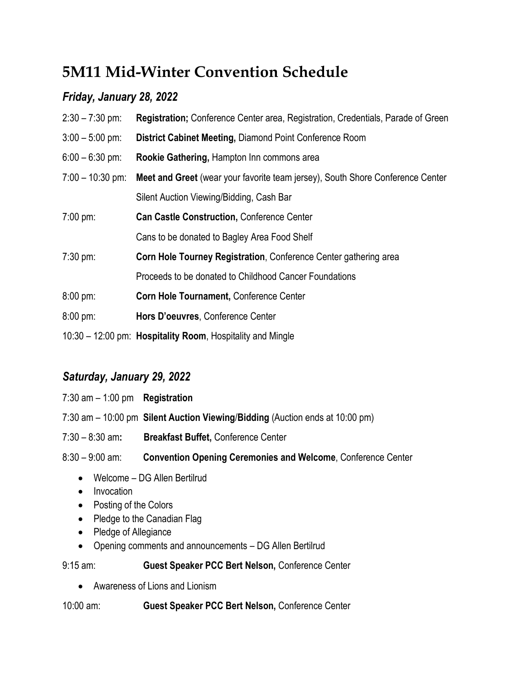# **5M11 Mid-Winter Convention Schedule**

## *Friday, January 28, 2022*

| $2:30 - 7:30$ pm:   | Registration; Conference Center area, Registration, Credentials, Parade of Green |
|---------------------|----------------------------------------------------------------------------------|
| $3:00 - 5:00$ pm:   | District Cabinet Meeting, Diamond Point Conference Room                          |
| $6:00 - 6:30$ pm:   | Rookie Gathering, Hampton Inn commons area                                       |
| $7:00 - 10:30$ pm:  | Meet and Greet (wear your favorite team jersey), South Shore Conference Center   |
|                     | Silent Auction Viewing/Bidding, Cash Bar                                         |
| $7:00 \text{ pm}$   | <b>Can Castle Construction, Conference Center</b>                                |
|                     | Cans to be donated to Bagley Area Food Shelf                                     |
| $7:30 \text{ pm}$   | Corn Hole Tourney Registration, Conference Center gathering area                 |
|                     | Proceeds to be donated to Childhood Cancer Foundations                           |
| $8:00 \text{ pm}$ : | Corn Hole Tournament, Conference Center                                          |
| $8:00 \text{ pm}$ : | Hors D'oeuvres, Conference Center                                                |
|                     | 10:30 – 12:00 pm: Hospitality Room, Hospitality and Mingle                       |

## *Saturday, January 29, 2022*

| 7:30 am $-1:00$ pm Registration |                                                                                 |
|---------------------------------|---------------------------------------------------------------------------------|
|                                 | $7:30$ am $-10:00$ pm Silent Auction Viewing/Bidding (Auction ends at 10:00 pm) |
| $7:30 - 8:30$ am:               | <b>Breakfast Buffet, Conference Center</b>                                      |
| $8:30 - 9:00$ am:               | <b>Convention Opening Ceremonies and Welcome, Conference Center</b>             |
| $\bullet$                       | Welcome – DG Allen Bertilrud                                                    |

- Invocation
- Posting of the Colors
- Pledge to the Canadian Flag
- Pledge of Allegiance
- Opening comments and announcements DG Allen Bertilrud

9:15 am: **Guest Speaker PCC Bert Nelson,** Conference Center

• Awareness of Lions and Lionism

10:00 am: **Guest Speaker PCC Bert Nelson,** Conference Center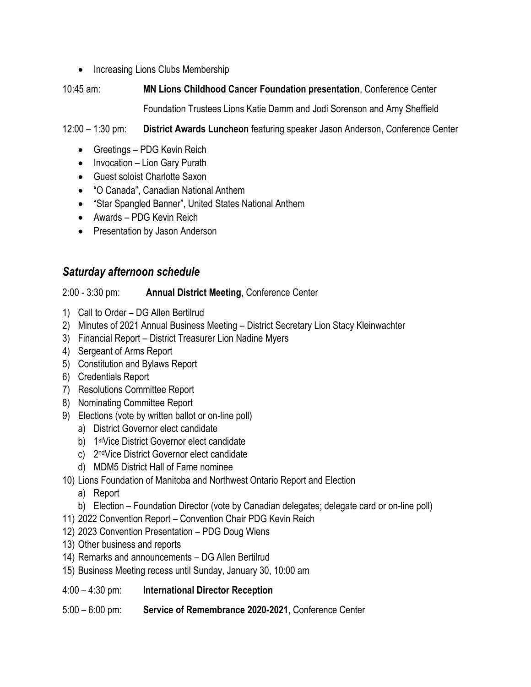• Increasing Lions Clubs Membership

# 10:45 am: **MN Lions Childhood Cancer Foundation presentation**, Conference Center

Foundation Trustees Lions Katie Damm and Jodi Sorenson and Amy Sheffield

12:00 – 1:30 pm: **District Awards Luncheon** featuring speaker Jason Anderson, Conference Center

- Greetings PDG Kevin Reich
- Invocation Lion Gary Purath
- Guest soloist Charlotte Saxon
- "O Canada", Canadian National Anthem
- "Star Spangled Banner", United States National Anthem
- Awards PDG Kevin Reich
- Presentation by Jason Anderson

### *Saturday afternoon schedule*

2:00 - 3:30 pm: **Annual District Meeting**, Conference Center

- 1) Call to Order DG Allen Bertilrud
- 2) Minutes of 2021 Annual Business Meeting District Secretary Lion Stacy Kleinwachter
- 3) Financial Report District Treasurer Lion Nadine Myers
- 4) Sergeant of Arms Report
- 5) Constitution and Bylaws Report
- 6) Credentials Report
- 7) Resolutions Committee Report
- 8) Nominating Committee Report
- 9) Elections (vote by written ballot or on-line poll)
	- a) District Governor elect candidate
	- b) 1 stVice District Governor elect candidate
	- c) 2<sup>nd</sup>Vice District Governor elect candidate
	- d) MDM5 District Hall of Fame nominee
- 10) Lions Foundation of Manitoba and Northwest Ontario Report and Election
	- a) Report
	- b) Election Foundation Director (vote by Canadian delegates; delegate card or on-line poll)
- 11) 2022 Convention Report Convention Chair PDG Kevin Reich
- 12) 2023 Convention Presentation PDG Doug Wiens
- 13) Other business and reports
- 14) Remarks and announcements DG Allen Bertilrud
- 15) Business Meeting recess until Sunday, January 30, 10:00 am
- 4:00 4:30 pm: **International Director Reception**
- 5:00 6:00 pm: **Service of Remembrance 2020-2021**, Conference Center